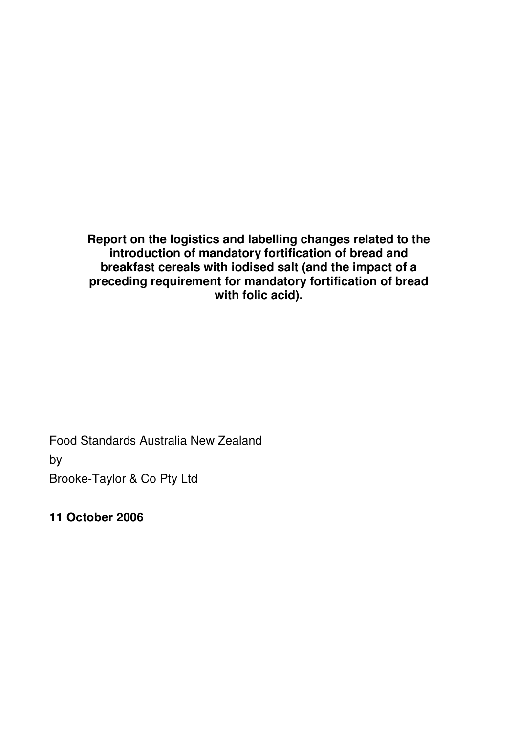**Report on the logistics and labelling changes related to the introduction of mandatory fortification of bread and breakfast cereals with iodised salt (and the impact of a preceding requirement for mandatory fortification of bread with folic acid).** 

Food Standards Australia New Zealand

by

Brooke-Taylor & Co Pty Ltd

**11 October 2006**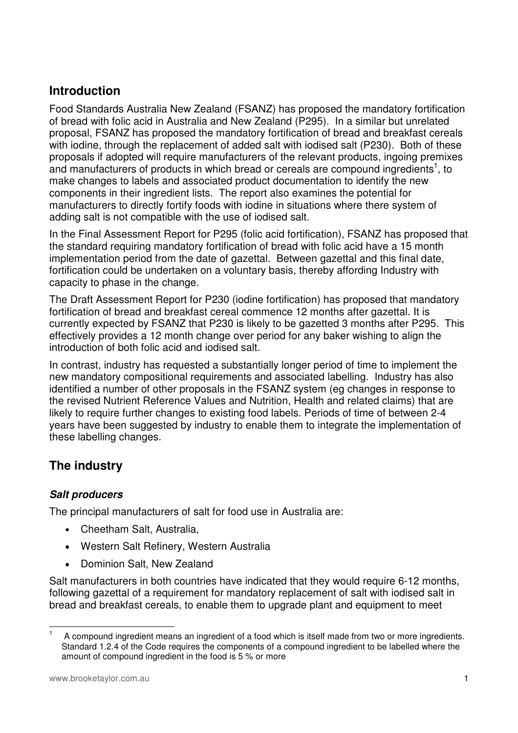# **Introduction**

Food Standards Australia New Zealand (FSANZ) has proposed the mandatory fortification of bread with folic acid in Australia and New Zealand (P295). In a similar but unrelated proposal, FSANZ has proposed the mandatory fortification of bread and breakfast cereals with iodine, through the replacement of added salt with iodised salt (P230). Both of these proposals if adopted will require manufacturers of the relevant products, ingoing premixes and manufacturers of products in which bread or cereals are compound ingredients<sup>1</sup>, to make changes to labels and associated product documentation to identify the new components in their ingredient lists. The report also examines the potential for manufacturers to directly fortify foods with iodine in situations where there system of adding salt is not compatible with the use of iodised salt.

In the Final Assessment Report for P295 (folic acid fortification), FSANZ has proposed that the standard requiring mandatory fortification of bread with folic acid have a 15 month implementation period from the date of gazettal. Between gazettal and this final date, fortification could be undertaken on a voluntary basis, thereby affording Industry with capacity to phase in the change.

The Draft Assessment Report for P230 (iodine fortification) has proposed that mandatory fortification of bread and breakfast cereal commence 12 months after gazettal. It is currently expected by FSANZ that P230 is likely to be gazetted 3 months after P295. This effectively provides a 12 month change over period for any baker wishing to align the introduction of both folic acid and iodised salt.

In contrast, industry has requested a substantially longer period of time to implement the new mandatory compositional requirements and associated labelling. Industry has also identified a number of other proposals in the FSANZ system (eg changes in response to the revised Nutrient Reference Values and Nutrition, Health and related claims) that are likely to require further changes to existing food labels. Periods of time of between 2-4 years have been suggested by industry to enable them to integrate the implementation of these labelling changes.

# **The industry**

### **Salt producers**

The principal manufacturers of salt for food use in Australia are:

- Cheetham Salt, Australia,
- Western Salt Refinery, Western Australia
- Dominion Salt, New Zealand

Salt manufacturers in both countries have indicated that they would require 6-12 months, following gazettal of a requirement for mandatory replacement of salt with iodised salt in bread and breakfast cereals, to enable them to upgrade plant and equipment to meet

 $\frac{1}{1}$  A compound ingredient means an ingredient of a food which is itself made from two or more ingredients. Standard 1.2.4 of the Code requires the components of a compound ingredient to be labelled where the amount of compound ingredient in the food is 5 % or more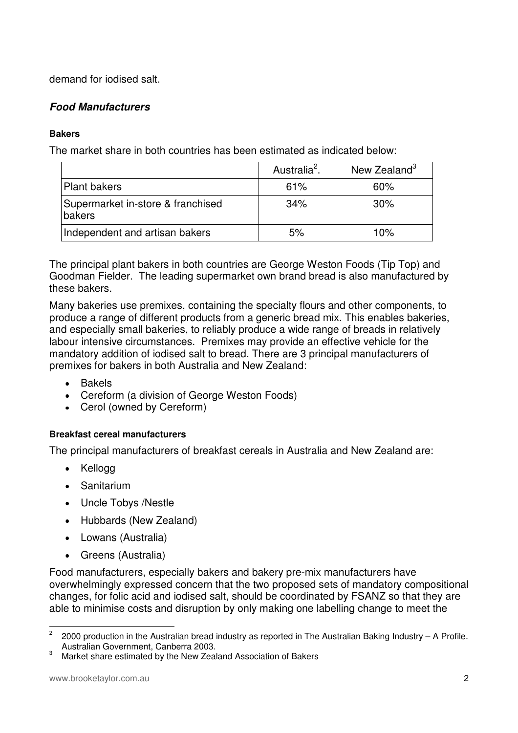demand for iodised salt.

### **Food Manufacturers**

#### **Bakers**

The market share in both countries has been estimated as indicated below:

|                                             | Australia <sup>2</sup> . | New Zealand <sup>3</sup> |
|---------------------------------------------|--------------------------|--------------------------|
| <b>Plant bakers</b>                         | 61%                      | 60%                      |
| Supermarket in-store & franchised<br>bakers | 34%                      | $30\%$                   |
| Independent and artisan bakers              | 5%                       | 10%                      |

The principal plant bakers in both countries are George Weston Foods (Tip Top) and Goodman Fielder. The leading supermarket own brand bread is also manufactured by these bakers.

Many bakeries use premixes, containing the specialty flours and other components, to produce a range of different products from a generic bread mix. This enables bakeries, and especially small bakeries, to reliably produce a wide range of breads in relatively labour intensive circumstances. Premixes may provide an effective vehicle for the mandatory addition of iodised salt to bread. There are 3 principal manufacturers of premixes for bakers in both Australia and New Zealand:

- Bakels
- Cereform (a division of George Weston Foods)
- Cerol (owned by Cereform)

#### **Breakfast cereal manufacturers**

The principal manufacturers of breakfast cereals in Australia and New Zealand are:

- Kellogg
- Sanitarium
- Uncle Tobys /Nestle
- Hubbards (New Zealand)
- Lowans (Australia)
- Greens (Australia)

Food manufacturers, especially bakers and bakery pre-mix manufacturers have overwhelmingly expressed concern that the two proposed sets of mandatory compositional changes, for folic acid and iodised salt, should be coordinated by FSANZ so that they are able to minimise costs and disruption by only making one labelling change to meet the

 $\frac{1}{2}$  2000 production in the Australian bread industry as reported in The Australian Baking Industry – A Profile. Australian Government, Canberra 2003.

<sup>3</sup> Market share estimated by the New Zealand Association of Bakers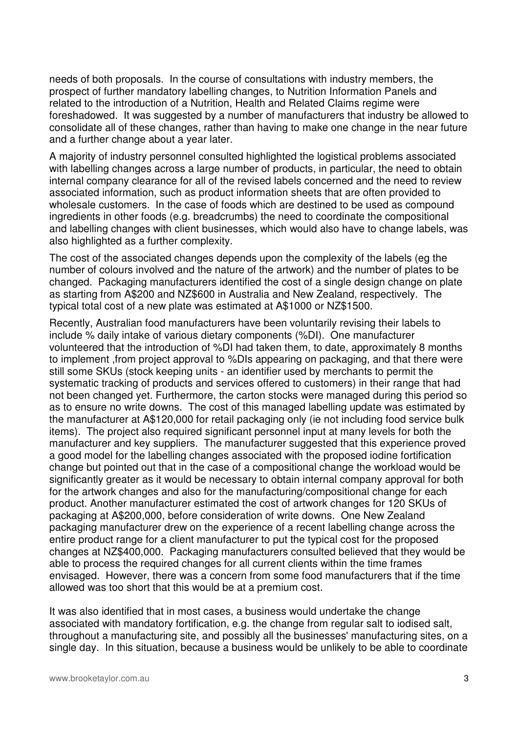needs of both proposals. In the course of consultations with industry members, the prospect of further mandatory labelling changes, to Nutrition Information Panels and related to the introduction of a Nutrition, Health and Related Claims regime were foreshadowed. It was suggested by a number of manufacturers that industry be allowed to consolidate all of these changes, rather than having to make one change in the near future and a further change about a year later.

A majority of industry personnel consulted highlighted the logistical problems associated with labelling changes across a large number of products, in particular, the need to obtain internal company clearance for all of the revised labels concerned and the need to review associated information, such as product information sheets that are often provided to wholesale customers. In the case of foods which are destined to be used as compound ingredients in other foods (e.g. breadcrumbs) the need to coordinate the compositional and labelling changes with client businesses, which would also have to change labels, was also highlighted as a further complexity.

The cost of the associated changes depends upon the complexity of the labels (eg the number of colours involved and the nature of the artwork) and the number of plates to be changed. Packaging manufacturers identified the cost of a single design change on plate as starting from A\$200 and NZ\$600 in Australia and New Zealand, respectively. The typical total cost of a new plate was estimated at A\$1000 or NZ\$1500.

Recently, Australian food manufacturers have been voluntarily revising their labels to include % daily intake of various dietary components (%DI). One manufacturer volunteered that the introduction of %DI had taken them, to date, approximately 8 months to implement ,from project approval to %DIs appearing on packaging, and that there were still some SKUs (stock keeping units - an identifier used by merchants to permit the systematic tracking of products and services offered to customers) in their range that had not been changed yet. Furthermore, the carton stocks were managed during this period so as to ensure no write downs. The cost of this managed labelling update was estimated by the manufacturer at A\$120,000 for retail packaging only (ie not including food service bulk items). The project also required significant personnel input at many levels for both the manufacturer and key suppliers. The manufacturer suggested that this experience proved a good model for the labelling changes associated with the proposed iodine fortification change but pointed out that in the case of a compositional change the workload would be significantly greater as it would be necessary to obtain internal company approval for both for the artwork changes and also for the manufacturing/compositional change for each product. Another manufacturer estimated the cost of artwork changes for 120 SKUs of packaging at A\$200,000, before consideration of write downs. One New Zealand packaging manufacturer drew on the experience of a recent labelling change across the entire product range for a client manufacturer to put the typical cost for the proposed changes at NZ\$400,000. Packaging manufacturers consulted believed that they would be able to process the required changes for all current clients within the time frames envisaged. However, there was a concern from some food manufacturers that if the time allowed was too short that this would be at a premium cost.

It was also identified that in most cases, a business would undertake the change associated with mandatory fortification, e.g. the change from regular salt to iodised salt, throughout a manufacturing site, and possibly all the businesses' manufacturing sites, on a single day. In this situation, because a business would be unlikely to be able to coordinate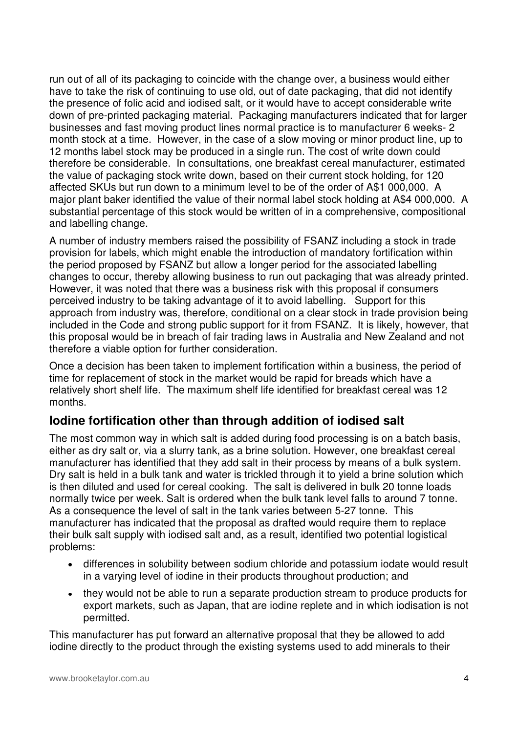run out of all of its packaging to coincide with the change over, a business would either have to take the risk of continuing to use old, out of date packaging, that did not identify the presence of folic acid and iodised salt, or it would have to accept considerable write down of pre-printed packaging material. Packaging manufacturers indicated that for larger businesses and fast moving product lines normal practice is to manufacturer 6 weeks- 2 month stock at a time. However, in the case of a slow moving or minor product line, up to 12 months label stock may be produced in a single run. The cost of write down could therefore be considerable. In consultations, one breakfast cereal manufacturer, estimated the value of packaging stock write down, based on their current stock holding, for 120 affected SKUs but run down to a minimum level to be of the order of A\$1 000,000. A major plant baker identified the value of their normal label stock holding at A\$4 000,000. A substantial percentage of this stock would be written of in a comprehensive, compositional and labelling change.

A number of industry members raised the possibility of FSANZ including a stock in trade provision for labels, which might enable the introduction of mandatory fortification within the period proposed by FSANZ but allow a longer period for the associated labelling changes to occur, thereby allowing business to run out packaging that was already printed. However, it was noted that there was a business risk with this proposal if consumers perceived industry to be taking advantage of it to avoid labelling. Support for this approach from industry was, therefore, conditional on a clear stock in trade provision being included in the Code and strong public support for it from FSANZ. It is likely, however, that this proposal would be in breach of fair trading laws in Australia and New Zealand and not therefore a viable option for further consideration.

Once a decision has been taken to implement fortification within a business, the period of time for replacement of stock in the market would be rapid for breads which have a relatively short shelf life. The maximum shelf life identified for breakfast cereal was 12 months.

### **Iodine fortification other than through addition of iodised salt**

The most common way in which salt is added during food processing is on a batch basis, either as dry salt or, via a slurry tank, as a brine solution. However, one breakfast cereal manufacturer has identified that they add salt in their process by means of a bulk system. Dry salt is held in a bulk tank and water is trickled through it to yield a brine solution which is then diluted and used for cereal cooking. The salt is delivered in bulk 20 tonne loads normally twice per week. Salt is ordered when the bulk tank level falls to around 7 tonne. As a consequence the level of salt in the tank varies between 5-27 tonne. This manufacturer has indicated that the proposal as drafted would require them to replace their bulk salt supply with iodised salt and, as a result, identified two potential logistical problems:

- differences in solubility between sodium chloride and potassium iodate would result in a varying level of iodine in their products throughout production; and
- they would not be able to run a separate production stream to produce products for export markets, such as Japan, that are iodine replete and in which iodisation is not permitted.

This manufacturer has put forward an alternative proposal that they be allowed to add iodine directly to the product through the existing systems used to add minerals to their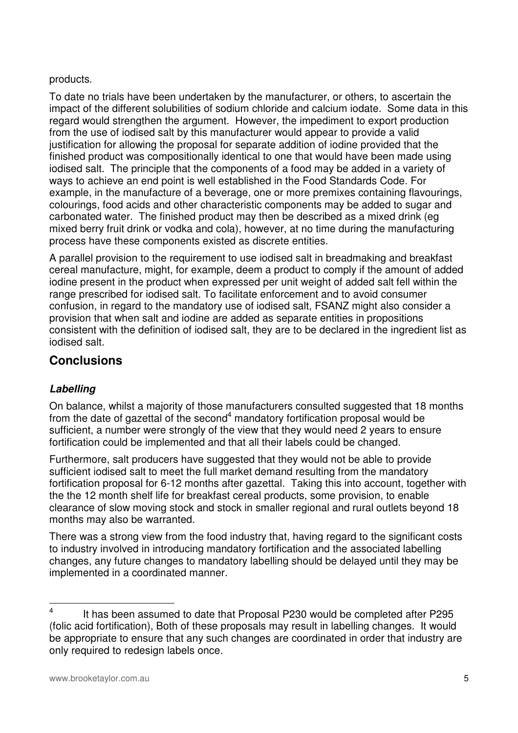#### products.

To date no trials have been undertaken by the manufacturer, or others, to ascertain the impact of the different solubilities of sodium chloride and calcium iodate. Some data in this regard would strengthen the argument. However, the impediment to export production from the use of iodised salt by this manufacturer would appear to provide a valid justification for allowing the proposal for separate addition of iodine provided that the finished product was compositionally identical to one that would have been made using iodised salt. The principle that the components of a food may be added in a variety of ways to achieve an end point is well established in the Food Standards Code. For example, in the manufacture of a beverage, one or more premixes containing flavourings, colourings, food acids and other characteristic components may be added to sugar and carbonated water. The finished product may then be described as a mixed drink (eg mixed berry fruit drink or vodka and cola), however, at no time during the manufacturing process have these components existed as discrete entities.

A parallel provision to the requirement to use iodised salt in breadmaking and breakfast cereal manufacture, might, for example, deem a product to comply if the amount of added iodine present in the product when expressed per unit weight of added salt fell within the range prescribed for iodised salt. To facilitate enforcement and to avoid consumer confusion, in regard to the mandatory use of iodised salt, FSANZ might also consider a provision that when salt and iodine are added as separate entities in propositions consistent with the definition of iodised salt, they are to be declared in the ingredient list as iodised salt.

### **Conclusions**

### **Labelling**

On balance, whilst a majority of those manufacturers consulted suggested that 18 months from the date of gazettal of the second $4$  mandatory fortification proposal would be sufficient, a number were strongly of the view that they would need 2 years to ensure fortification could be implemented and that all their labels could be changed.

Furthermore, salt producers have suggested that they would not be able to provide sufficient iodised salt to meet the full market demand resulting from the mandatory fortification proposal for 6-12 months after gazettal. Taking this into account, together with the the 12 month shelf life for breakfast cereal products, some provision, to enable clearance of slow moving stock and stock in smaller regional and rural outlets beyond 18 months may also be warranted.

There was a strong view from the food industry that, having regard to the significant costs to industry involved in introducing mandatory fortification and the associated labelling changes, any future changes to mandatory labelling should be delayed until they may be implemented in a coordinated manner.

 $\frac{1}{4}$  It has been assumed to date that Proposal P230 would be completed after P295 (folic acid fortification), Both of these proposals may result in labelling changes. It would be appropriate to ensure that any such changes are coordinated in order that industry are only required to redesign labels once.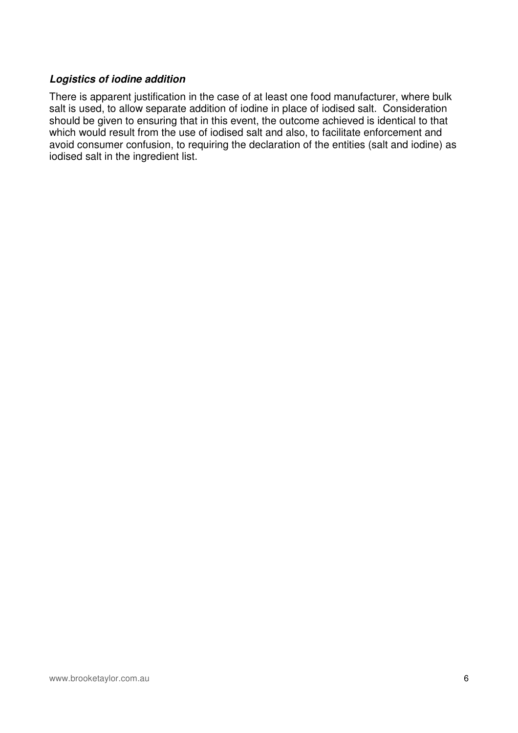#### **Logistics of iodine addition**

There is apparent justification in the case of at least one food manufacturer, where bulk salt is used, to allow separate addition of iodine in place of iodised salt. Consideration should be given to ensuring that in this event, the outcome achieved is identical to that which would result from the use of iodised salt and also, to facilitate enforcement and avoid consumer confusion, to requiring the declaration of the entities (salt and iodine) as iodised salt in the ingredient list.